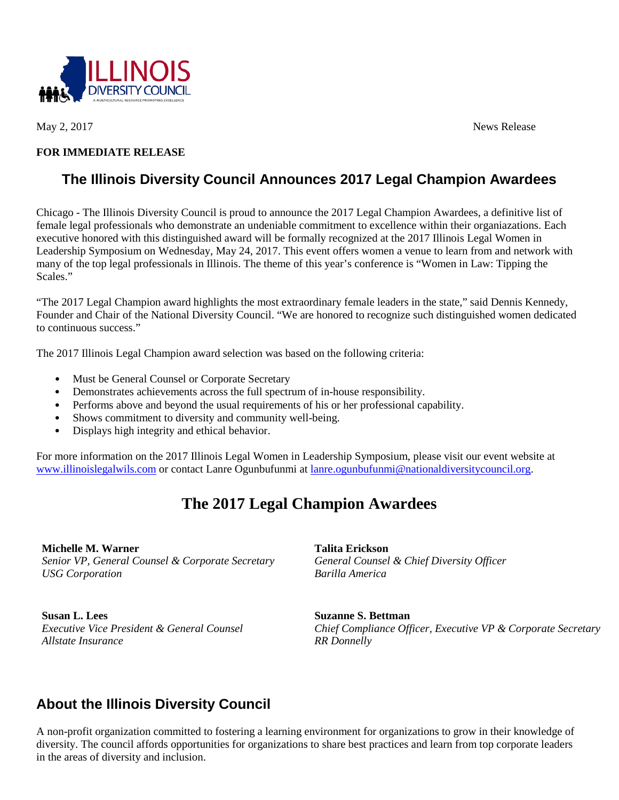

May 2, 2017 News Release

## **FOR IMMEDIATE RELEASE**

## **The Illinois Diversity Council Announces 2017 Legal Champion Awardees**

Chicago - The Illinois Diversity Council is proud to announce the 2017 Legal Champion Awardees, a definitive list of female legal professionals who demonstrate an undeniable commitment to excellence within their organiazations. Each executive honored with this distinguished award will be formally recognized at the 2017 Illinois Legal Women in Leadership Symposium on Wednesday, May 24, 2017. This event offers women a venue to learn from and network with many of the top legal professionals in Illinois. The theme of this year's conference is "Women in Law: Tipping the Scales."

"The 2017 Legal Champion award highlights the most extraordinary female leaders in the state," said Dennis Kennedy, Founder and Chair of the National Diversity Council. "We are honored to recognize such distinguished women dedicated to continuous success."

The 2017 Illinois Legal Champion award selection was based on the following criteria:

- Must be General Counsel or Corporate Secretary
- Demonstrates achievements across the full spectrum of in-house responsibility.
- Performs above and beyond the usual requirements of his or her professional capability.
- Shows commitment to diversity and community well-being.
- Displays high integrity and ethical behavior.

For more information on the 2017 Illinois Legal Women in Leadership Symposium, please visit our event website at [www.illinoislegalwils.com](http://www.illinoisdiversitycouncil.org/what-we-do/events-and-programs/legal-women-in-leadership-symposium/2017-symposium/) or contact Lanre Ogunbufunmi at [lanre.ogunbufunmi@nationaldiversitycouncil.org.](mailto:lanre.ogunbufunmi@nationaldiversitycouncil.org)

## **The 2017 Legal Champion Awardees**

**Michelle M. Warner** *Senior VP, General Counsel & Corporate Secretary USG Corporation*

**Susan L. Lees** *Executive Vice President & General Counsel Allstate Insurance*

**Talita Erickson** *General Counsel & Chief Diversity Officer Barilla America*

**Suzanne S. Bettman** *Chief Compliance Officer, Executive VP & Corporate Secretary RR Donnelly*

## **About the Illinois Diversity Council**

A non-profit organization committed to fostering a learning environment for organizations to grow in their knowledge of diversity. The council affords opportunities for organizations to share best practices and learn from top corporate leaders in the areas of diversity and inclusion.